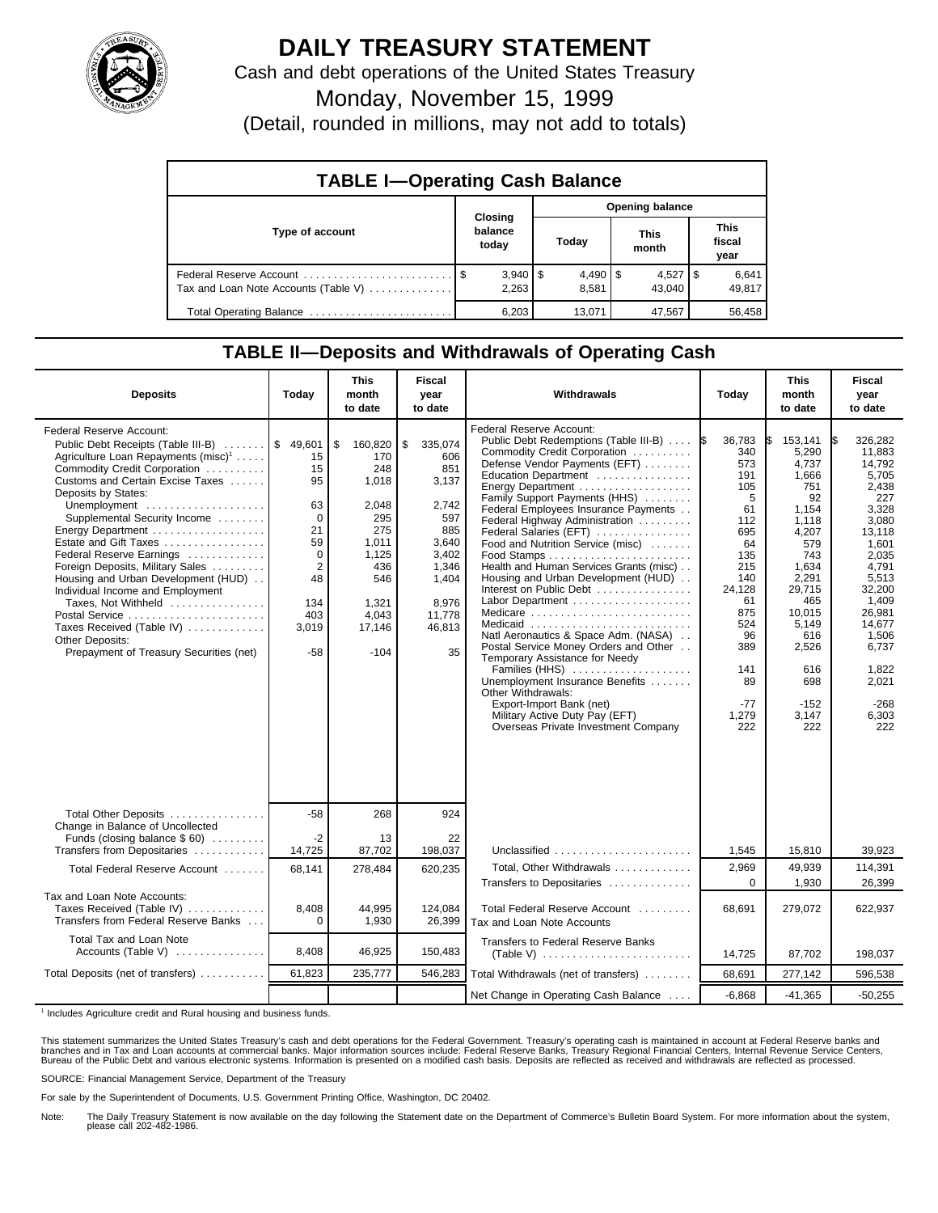

## **DAILY TREASURY STATEMENT**

Cash and debt operations of the United States Treasury

Monday, November 15, 1999

(Detail, rounded in millions, may not add to totals)

| <b>TABLE I-Operating Cash Balance</b> |         |                       |                 |                       |  |                        |  |                               |  |
|---------------------------------------|---------|-----------------------|-----------------|-----------------------|--|------------------------|--|-------------------------------|--|
|                                       | Closing |                       | Opening balance |                       |  |                        |  |                               |  |
| Type of account                       |         | balance<br>today      |                 | Today                 |  | <b>This</b><br>month   |  | <b>This</b><br>fiscal<br>year |  |
| Tax and Loan Note Accounts (Table V)  |         | $3,940$   \$<br>2,263 |                 | $4,490$ \ \$<br>8,581 |  | $4,527$   \$<br>43.040 |  | 6,641<br>49,817               |  |
| Total Operating Balance               |         | 6.203                 |                 | 13.071                |  | 47,567                 |  | 56,458                        |  |

## **TABLE II—Deposits and Withdrawals of Operating Cash**

| <b>Deposits</b>                                                                                                                                                                                                                                                                                                                                                                                                                                                                                                                                                                                             | Today                                                                                                        | <b>This</b><br>month<br>to date                                                                                                   | <b>Fiscal</b><br>year<br>to date                                                                                                   | Withdrawals                                                                                                                                                                                                                                                                                                                                                                                                                                                                                                                                                                                                                                                                                                                                                                                      | Today                                                                                                                                                                   | <b>This</b><br>month<br>to date                                                                                                                                                                        | <b>Fiscal</b><br>year<br>to date                                                                                                                                                                                                 |
|-------------------------------------------------------------------------------------------------------------------------------------------------------------------------------------------------------------------------------------------------------------------------------------------------------------------------------------------------------------------------------------------------------------------------------------------------------------------------------------------------------------------------------------------------------------------------------------------------------------|--------------------------------------------------------------------------------------------------------------|-----------------------------------------------------------------------------------------------------------------------------------|------------------------------------------------------------------------------------------------------------------------------------|--------------------------------------------------------------------------------------------------------------------------------------------------------------------------------------------------------------------------------------------------------------------------------------------------------------------------------------------------------------------------------------------------------------------------------------------------------------------------------------------------------------------------------------------------------------------------------------------------------------------------------------------------------------------------------------------------------------------------------------------------------------------------------------------------|-------------------------------------------------------------------------------------------------------------------------------------------------------------------------|--------------------------------------------------------------------------------------------------------------------------------------------------------------------------------------------------------|----------------------------------------------------------------------------------------------------------------------------------------------------------------------------------------------------------------------------------|
| Federal Reserve Account:<br>Public Debt Receipts (Table III-B)  \$ 49,601<br>Agriculture Loan Repayments (misc) <sup>1</sup><br>Commodity Credit Corporation<br>Customs and Certain Excise Taxes<br>Deposits by States:<br>Unemployment<br>Supplemental Security Income<br>Energy Department<br>Estate and Gift Taxes<br>Federal Reserve Earnings<br>Foreign Deposits, Military Sales<br>Housing and Urban Development (HUD)<br>Individual Income and Employment<br>Taxes, Not Withheld<br>Postal Service<br>Taxes Received (Table IV)<br><b>Other Deposits:</b><br>Prepayment of Treasury Securities (net) | 15<br>15<br>95<br>63<br>$\mathbf 0$<br>21<br>59<br>0<br>$\overline{2}$<br>48<br>134<br>403<br>3,019<br>$-58$ | \$<br>160,820<br>170<br>248<br>1,018<br>2,048<br>295<br>275<br>1.011<br>1.125<br>436<br>546<br>1,321<br>4,043<br>17,146<br>$-104$ | 335,074<br>\$<br>606<br>851<br>3,137<br>2,742<br>597<br>885<br>3.640<br>3,402<br>1,346<br>1,404<br>8,976<br>11,778<br>46,813<br>35 | Federal Reserve Account:<br>Public Debt Redemptions (Table III-B)<br>Commodity Credit Corporation<br>Defense Vendor Payments (EFT)<br>Education Department<br>Family Support Payments (HHS)<br>Federal Employees Insurance Payments<br>Federal Highway Administration<br>Federal Salaries (EFT)<br>Food and Nutrition Service (misc)<br>Health and Human Services Grants (misc)<br>Housing and Urban Development (HUD)<br>Interest on Public Debt<br>Labor Department<br>Medicare<br>Medicaid<br>Natl Aeronautics & Space Adm. (NASA)<br>Postal Service Money Orders and Other<br>Temporary Assistance for Needy<br>Families (HHS)<br>Unemployment Insurance Benefits<br>Other Withdrawals:<br>Export-Import Bank (net)<br>Military Active Duty Pay (EFT)<br>Overseas Private Investment Company | 36.783<br>340<br>573<br>191<br>105<br>5<br>61<br>112<br>695<br>64<br>135<br>215<br>140<br>24,128<br>61<br>875<br>524<br>96<br>389<br>141<br>89<br>$-77$<br>1,279<br>222 | 153.141<br>5,290<br>4.737<br>1,666<br>751<br>92<br>1,154<br>1.118<br>4,207<br>579<br>743<br>1,634<br>2,291<br>29.715<br>465<br>10.015<br>5,149<br>616<br>2,526<br>616<br>698<br>$-152$<br>3,147<br>222 | IS.<br>326.282<br>11,883<br>14.792<br>5,705<br>2,438<br>227<br>3,328<br>3.080<br>13,118<br>1,601<br>2.035<br>4.791<br>5,513<br>32.200<br>1,409<br>26.981<br>14,677<br>1,506<br>6.737<br>1.822<br>2,021<br>$-268$<br>6,303<br>222 |
| Total Other Deposits<br>Change in Balance of Uncollected                                                                                                                                                                                                                                                                                                                                                                                                                                                                                                                                                    | $-58$                                                                                                        | 268                                                                                                                               | 924                                                                                                                                |                                                                                                                                                                                                                                                                                                                                                                                                                                                                                                                                                                                                                                                                                                                                                                                                  |                                                                                                                                                                         |                                                                                                                                                                                                        |                                                                                                                                                                                                                                  |
| Funds (closing balance $$60$ )<br>Transfers from Depositaries                                                                                                                                                                                                                                                                                                                                                                                                                                                                                                                                               | $-2$<br>14,725                                                                                               | 13<br>87,702                                                                                                                      | 22<br>198,037                                                                                                                      | Unclassified                                                                                                                                                                                                                                                                                                                                                                                                                                                                                                                                                                                                                                                                                                                                                                                     | 1,545                                                                                                                                                                   | 15,810                                                                                                                                                                                                 | 39,923                                                                                                                                                                                                                           |
| Total Federal Reserve Account                                                                                                                                                                                                                                                                                                                                                                                                                                                                                                                                                                               | 68,141                                                                                                       | 278,484                                                                                                                           | 620,235                                                                                                                            | Total, Other Withdrawals<br>Transfers to Depositaries                                                                                                                                                                                                                                                                                                                                                                                                                                                                                                                                                                                                                                                                                                                                            | 2,969<br>$\Omega$                                                                                                                                                       | 49,939<br>1,930                                                                                                                                                                                        | 114,391<br>26.399                                                                                                                                                                                                                |
| Tax and Loan Note Accounts:<br>Taxes Received (Table IV)<br>Transfers from Federal Reserve Banks                                                                                                                                                                                                                                                                                                                                                                                                                                                                                                            | 8.408<br>$\Omega$                                                                                            | 44.995<br>1,930                                                                                                                   | 124.084<br>26,399                                                                                                                  | Total Federal Reserve Account<br>Tax and Loan Note Accounts                                                                                                                                                                                                                                                                                                                                                                                                                                                                                                                                                                                                                                                                                                                                      | 68,691                                                                                                                                                                  | 279,072                                                                                                                                                                                                | 622,937                                                                                                                                                                                                                          |
| Total Tax and Loan Note<br>Accounts (Table V) $\dots\dots\dots\dots$                                                                                                                                                                                                                                                                                                                                                                                                                                                                                                                                        | 8,408                                                                                                        | 46,925                                                                                                                            | 150,483                                                                                                                            | <b>Transfers to Federal Reserve Banks</b>                                                                                                                                                                                                                                                                                                                                                                                                                                                                                                                                                                                                                                                                                                                                                        | 14,725                                                                                                                                                                  | 87,702                                                                                                                                                                                                 | 198,037                                                                                                                                                                                                                          |
| Total Deposits (net of transfers)                                                                                                                                                                                                                                                                                                                                                                                                                                                                                                                                                                           | 61,823                                                                                                       | 235,777                                                                                                                           | 546,283                                                                                                                            | Total Withdrawals (net of transfers)                                                                                                                                                                                                                                                                                                                                                                                                                                                                                                                                                                                                                                                                                                                                                             | 68,691                                                                                                                                                                  | 277,142                                                                                                                                                                                                | 596,538                                                                                                                                                                                                                          |
|                                                                                                                                                                                                                                                                                                                                                                                                                                                                                                                                                                                                             |                                                                                                              |                                                                                                                                   |                                                                                                                                    | Net Change in Operating Cash Balance                                                                                                                                                                                                                                                                                                                                                                                                                                                                                                                                                                                                                                                                                                                                                             | $-6,868$                                                                                                                                                                | $-41,365$                                                                                                                                                                                              | $-50,255$                                                                                                                                                                                                                        |

<sup>1</sup> Includes Agriculture credit and Rural housing and business funds.

This statement summarizes the United States Treasury's cash and debt operations for the Federal Government. Treasury's operating cash is maintained in account at Federal Reserve banks and<br>branches and in Tax and Loan accou

SOURCE: Financial Management Service, Department of the Treasury

For sale by the Superintendent of Documents, U.S. Government Printing Office, Washington, DC 20402.

Note: The Daily Treasury Statement is now available on the day following the Statement date on the Department of Commerce's Bulletin Board System. For more information about the system, please call 202-482-1986.